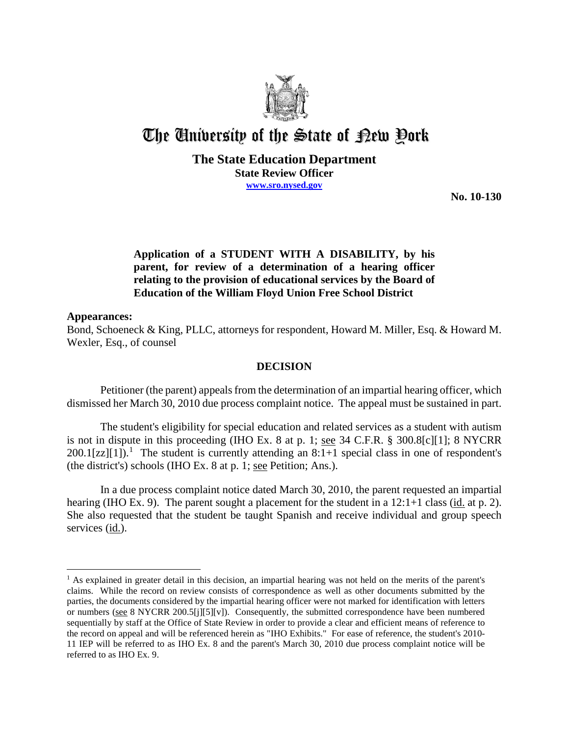

# The University of the State of Pew Pork

### **The State Education Department State Review Officer www.sro.nysed.gov**

**No. 10-130** 

## **Application of a STUDENT WITH A DISABILITY, by his parent, for review of a determination of a hearing officer relating to the provision of educational services by the Board of Education of the William Floyd Union Free School District**

#### **Appearances:**

 $\overline{a}$ 

Bond, Schoeneck & King, PLLC, attorneys for respondent, Howard M. Miller, Esq. & Howard M. Wexler, Esq., of counsel

#### **DECISION**

Petitioner (the parent) appeals from the determination of an impartial hearing officer, which dismissed her March 30, 2010 due process complaint notice. The appeal must be sustained in part.

 The student's eligibility for special education and related services as a student with autism is not in dispute in this proceeding (IHO Ex. 8 at p. 1; see  $34$  C.F.R. §  $300.8[c][1]$ ; 8 NYCRR  $200.1$ [zz][1]).<sup>1</sup> The student is currently attending an 8:1+1 special class in one of respondent's (the district's) schools (IHO Ex. 8 at p. 1; see Petition; Ans.).

In a due process complaint notice dated March 30, 2010, the parent requested an impartial hearing (IHO Ex. 9). The parent sought a placement for the student in a 12:1+1 class (id. at p. 2). She also requested that the student be taught Spanish and receive individual and group speech services (id.).

<sup>&</sup>lt;sup>1</sup> As explained in greater detail in this decision, an impartial hearing was not held on the merits of the parent's claims. While the record on review consists of correspondence as well as other documents submitted by the parties, the documents considered by the impartial hearing officer were not marked for identification with letters or numbers (see 8 NYCRR 200.5[j][5][v]). Consequently, the submitted correspondence have been numbered sequentially by staff at the Office of State Review in order to provide a clear and efficient means of reference to the record on appeal and will be referenced herein as "IHO Exhibits." For ease of reference, the student's 2010- 11 IEP will be referred to as IHO Ex. 8 and the parent's March 30, 2010 due process complaint notice will be referred to as IHO Ex. 9.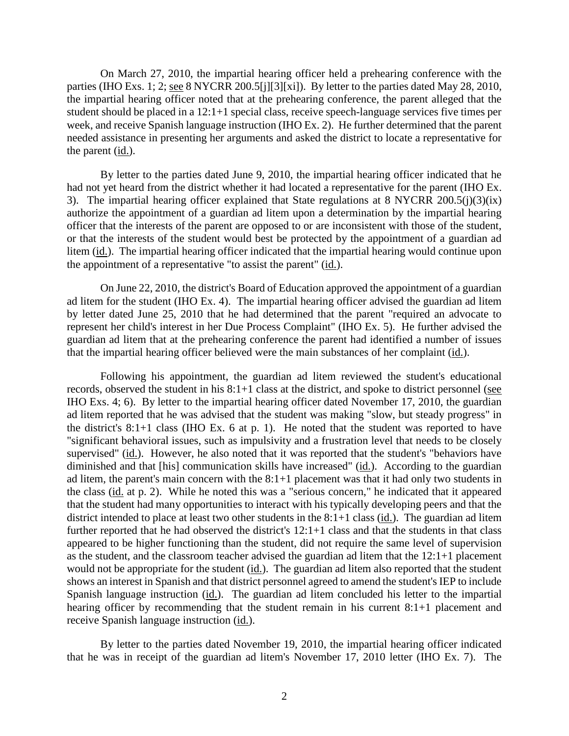On March 27, 2010, the impartial hearing officer held a prehearing conference with the parties (IHO Exs. 1; 2; <u>see</u> 8 NYCRR 200.5[j][3][xi]). By letter to the parties dated May 28, 2010, the impartial hearing officer noted that at the prehearing conference, the parent alleged that the student should be placed in a 12:1+1 special class, receive speech-language services five times per week, and receive Spanish language instruction (IHO Ex. 2). He further determined that the parent needed assistance in presenting her arguments and asked the district to locate a representative for the parent (id.).

By letter to the parties dated June 9, 2010, the impartial hearing officer indicated that he had not yet heard from the district whether it had located a representative for the parent (IHO Ex. 3). The impartial hearing officer explained that State regulations at 8 NYCRR 200.5(j)(3)(ix) authorize the appointment of a guardian ad litem upon a determination by the impartial hearing officer that the interests of the parent are opposed to or are inconsistent with those of the student, or that the interests of the student would best be protected by the appointment of a guardian ad litem (id.). The impartial hearing officer indicated that the impartial hearing would continue upon the appointment of a representative "to assist the parent" (id.).

On June 22, 2010, the district's Board of Education approved the appointment of a guardian ad litem for the student (IHO Ex. 4). The impartial hearing officer advised the guardian ad litem by letter dated June 25, 2010 that he had determined that the parent "required an advocate to represent her child's interest in her Due Process Complaint" (IHO Ex. 5). He further advised the guardian ad litem that at the prehearing conference the parent had identified a number of issues that the impartial hearing officer believed were the main substances of her complaint (id.).

Following his appointment, the guardian ad litem reviewed the student's educational records, observed the student in his 8:1+1 class at the district, and spoke to district personnel (see IHO Exs. 4; 6). By letter to the impartial hearing officer dated November 17, 2010, the guardian ad litem reported that he was advised that the student was making "slow, but steady progress" in the district's 8:1+1 class (IHO Ex. 6 at p. 1). He noted that the student was reported to have "significant behavioral issues, such as impulsivity and a frustration level that needs to be closely supervised" (id.). However, he also noted that it was reported that the student's "behaviors have diminished and that [his] communication skills have increased" (id.). According to the guardian ad litem, the parent's main concern with the 8:1+1 placement was that it had only two students in the class (id. at p. 2). While he noted this was a "serious concern," he indicated that it appeared that the student had many opportunities to interact with his typically developing peers and that the district intended to place at least two other students in the 8:1+1 class (id.). The guardian ad litem further reported that he had observed the district's 12:1+1 class and that the students in that class appeared to be higher functioning than the student, did not require the same level of supervision as the student, and the classroom teacher advised the guardian ad litem that the 12:1+1 placement would not be appropriate for the student (id.). The guardian ad litem also reported that the student shows an interest in Spanish and that district personnel agreed to amend the student's IEP to include Spanish language instruction (id.). The guardian ad litem concluded his letter to the impartial hearing officer by recommending that the student remain in his current 8:1+1 placement and receive Spanish language instruction (id.).

By letter to the parties dated November 19, 2010, the impartial hearing officer indicated that he was in receipt of the guardian ad litem's November 17, 2010 letter (IHO Ex. 7). The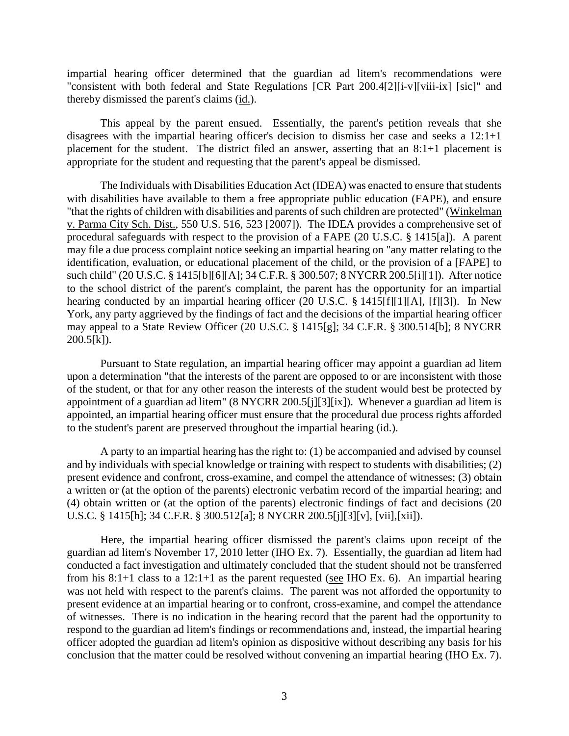impartial hearing officer determined that the guardian ad litem's recommendations were "consistent with both federal and State Regulations [CR Part 200.4[2][i-v][viii-ix] [sic]" and thereby dismissed the parent's claims (id.).

This appeal by the parent ensued. Essentially, the parent's petition reveals that she disagrees with the impartial hearing officer's decision to dismiss her case and seeks a 12:1+1 placement for the student. The district filed an answer, asserting that an 8:1+1 placement is appropriate for the student and requesting that the parent's appeal be dismissed.

The Individuals with Disabilities Education Act (IDEA) was enacted to ensure that students with disabilities have available to them a free appropriate public education (FAPE), and ensure "that the rights of children with disabilities and parents of such children are protected" (Winkelman v. Parma City Sch. Dist., 550 U.S. 516, 523 [2007]). The IDEA provides a comprehensive set of procedural safeguards with respect to the provision of a FAPE (20 U.S.C. § 1415[a]). A parent may file a due process complaint notice seeking an impartial hearing on "any matter relating to the identification, evaluation, or educational placement of the child, or the provision of a [FAPE] to such child" (20 U.S.C. § 1415[b][6][A]; 34 C.F.R. § 300.507; 8 NYCRR 200.5[i][1]). After notice to the school district of the parent's complaint, the parent has the opportunity for an impartial hearing conducted by an impartial hearing officer (20 U.S.C. § 1415[f][1][A], [f][3]). In New York, any party aggrieved by the findings of fact and the decisions of the impartial hearing officer may appeal to a State Review Officer (20 U.S.C. § 1415[g]; 34 C.F.R. § 300.514[b]; 8 NYCRR  $200.5[k]$ ).

Pursuant to State regulation, an impartial hearing officer may appoint a guardian ad litem upon a determination "that the interests of the parent are opposed to or are inconsistent with those of the student, or that for any other reason the interests of the student would best be protected by appointment of a guardian ad litem" (8 NYCRR 200.5[j][3][ix]). Whenever a guardian ad litem is appointed, an impartial hearing officer must ensure that the procedural due process rights afforded to the student's parent are preserved throughout the impartial hearing (id.).

A party to an impartial hearing has the right to: (1) be accompanied and advised by counsel and by individuals with special knowledge or training with respect to students with disabilities; (2) present evidence and confront, cross-examine, and compel the attendance of witnesses; (3) obtain a written or (at the option of the parents) electronic verbatim record of the impartial hearing; and (4) obtain written or (at the option of the parents) electronic findings of fact and decisions (20 U.S.C. § 1415[h]; 34 C.F.R. § 300.512[a]; 8 NYCRR 200.5[j][3][v], [vii],[xii]).

Here, the impartial hearing officer dismissed the parent's claims upon receipt of the guardian ad litem's November 17, 2010 letter (IHO Ex. 7). Essentially, the guardian ad litem had conducted a fact investigation and ultimately concluded that the student should not be transferred from his 8:1+1 class to a 12:1+1 as the parent requested (see IHO Ex. 6). An impartial hearing was not held with respect to the parent's claims. The parent was not afforded the opportunity to present evidence at an impartial hearing or to confront, cross-examine, and compel the attendance of witnesses. There is no indication in the hearing record that the parent had the opportunity to respond to the guardian ad litem's findings or recommendations and, instead, the impartial hearing officer adopted the guardian ad litem's opinion as dispositive without describing any basis for his conclusion that the matter could be resolved without convening an impartial hearing (IHO Ex. 7).